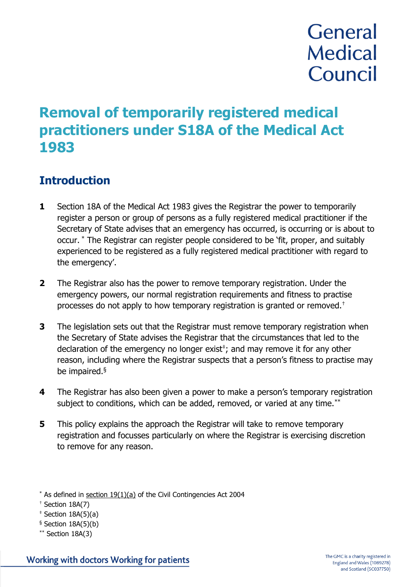# **General Medical** Council

## **Removal of temporarily registered medical practitioners under S18A of the Medical Act 1983**

### **Introduction**

- **1** Section 18A of the Medical Act 1983 gives the Registrar the power to temporarily register a person or group of persons as a fully registered medical practitioner if the Secretary of State advises that an emergency has occurred, is occurring or is about to occur. \* The Registrar can register people considered to be 'fit, proper, and suitably experienced to be registered as a fully registered medical practitioner with regard to the emergency'.
- **2** The Registrar also has the power to remove temporary registration. Under the emergency powers, our normal registration requirements and fitness to practise processes do not apply to how temporary registration is granted or removed.†
- **3** The legislation sets out that the Registrar must remove temporary registration when the Secretary of State advises the Registrar that the circumstances that led to the declaration of the emergency no longer  $exist$ ; and may remove it for any other reason, including where the Registrar suspects that a person's fitness to practise may be impaired.§
- **4** The Registrar has also been given a power to make a person's temporary registration subject to conditions, which can be added, removed, or varied at any time.<sup>\*\*</sup>
- **5** This policy explains the approach the Registrar will take to remove temporary registration and focusses particularly on where the Registrar is exercising discretion to remove for any reason.

 $*$  As defined in [section 19\(1\)\(a\)](http://www.legislation.gov.uk/ukpga/2004/36/contents) of the Civil Contingencies Act 2004

<sup>†</sup> Section 18A(7)

 $*$  Section 18A(5)(a)

 $§$  Section 18A(5)(b)

 $**$  Section 18A(3)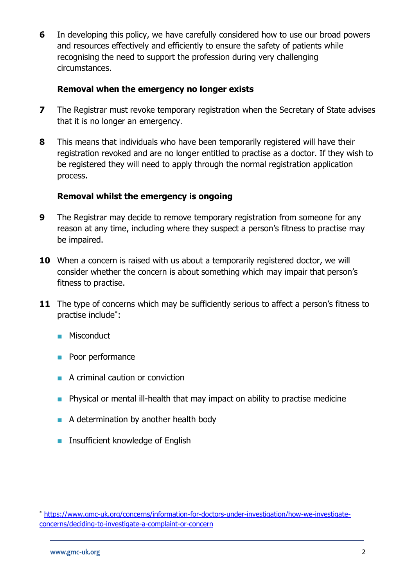**6** In developing this policy, we have carefully considered how to use our broad powers and resources effectively and efficiently to ensure the safety of patients while recognising the need to support the profession during very challenging circumstances.

#### **Removal when the emergency no longer exists**

- **7** The Registrar must revoke temporary registration when the Secretary of State advises that it is no longer an emergency.
- **8** This means that individuals who have been temporarily registered will have their registration revoked and are no longer entitled to practise as a doctor. If they wish to be registered they will need to apply through the normal registration application process.

#### **Removal whilst the emergency is ongoing**

- **9** The Registrar may decide to remove temporary registration from someone for any reason at any time, including where they suspect a person's fitness to practise may be impaired.
- **10** When a concern is raised with us about a temporarily registered doctor, we will consider whether the concern is about something which may impair that person's fitness to practise.
- **11** The type of concerns which may be sufficiently serious to affect a person's fitness to practise include\* :
	- Misconduct
	- Poor performance
	- A criminal caution or conviction
	- Physical or mental ill-health that may impact on ability to practise medicine
	- A determination by another health body
	- Insufficient knowledge of English

<sup>\*</sup> [https://www.gmc-uk.org/concerns/information-for-doctors-under-investigation/how-we-investigate](https://www.gmc-uk.org/concerns/information-for-doctors-under-investigation/how-we-investigate-concerns/deciding-to-investigate-a-complaint-or-concern)[concerns/deciding-to-investigate-a-complaint-or-concern](https://www.gmc-uk.org/concerns/information-for-doctors-under-investigation/how-we-investigate-concerns/deciding-to-investigate-a-complaint-or-concern)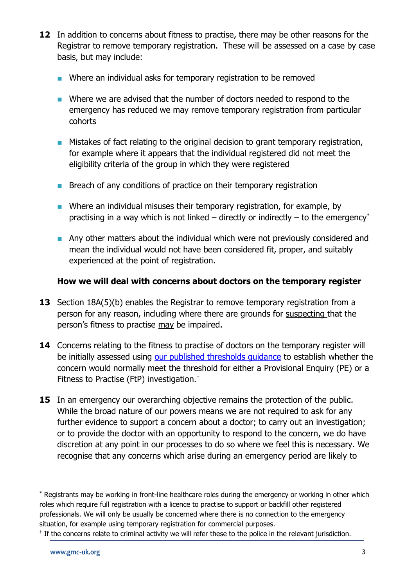- **12** In addition to concerns about fitness to practise, there may be other reasons for the Registrar to remove temporary registration. These will be assessed on a case by case basis, but may include:
	- Where an individual asks for temporary registration to be removed
	- Where we are advised that the number of doctors needed to respond to the emergency has reduced we may remove temporary registration from particular cohorts
	- Mistakes of fact relating to the original decision to grant temporary registration, for example where it appears that the individual registered did not meet the eligibility criteria of the group in which they were registered
	- Breach of any conditions of practice on their temporary registration
	- Where an individual misuses their temporary registration, for example, by practising in a way which is not linked – directly or indirectly – to the emergency\*
	- Any other matters about the individual which were not previously considered and mean the individual would not have been considered fit, proper, and suitably experienced at the point of registration.

#### **How we will deal with concerns about doctors on the temporary register**

- **13** Section 18A(5)(b) enables the Registrar to remove temporary registration from a person for any reason, including where there are grounds for suspecting that the person's fitness to practise may be impaired.
- **14** Concerns relating to the fitness to practise of doctors on the temporary register will be initially assessed using our published thresholds quidance to establish whether the concern would normally meet the threshold for either a Provisional Enquiry (PE) or a Fitness to Practise (FtP) investigation.†
- **15** In an emergency our overarching objective remains the protection of the public. While the broad nature of our powers means we are not required to ask for any further evidence to support a concern about a doctor; to carry out an investigation; or to provide the doctor with an opportunity to respond to the concern, we do have discretion at any point in our processes to do so where we feel this is necessary. We recognise that any concerns which arise during an emergency period are likely to

<sup>†</sup> If the concerns relate to criminal activity we will refer these to the police in the relevant jurisdiction.

<sup>\*</sup> Registrants may be working in front-line healthcare roles during the emergency or working in other which roles which require full registration with a licence to practise to support or backfill other registered professionals. We will only be usually be concerned where there is no connection to the emergency situation, for example using temporary registration for commercial purposes.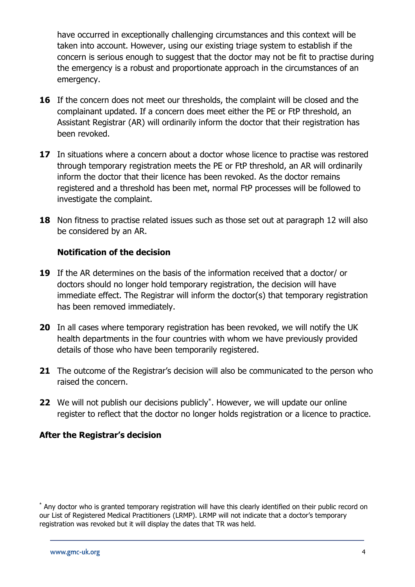have occurred in exceptionally challenging circumstances and this context will be taken into account. However, using our existing triage system to establish if the concern is serious enough to suggest that the doctor may not be fit to practise during the emergency is a robust and proportionate approach in the circumstances of an emergency.

- **16** If the concern does not meet our thresholds, the complaint will be closed and the complainant updated. If a concern does meet either the PE or FtP threshold, an Assistant Registrar (AR) will ordinarily inform the doctor that their registration has been revoked.
- **17** In situations where a concern about a doctor whose licence to practise was restored through temporary registration meets the PE or FtP threshold, an AR will ordinarily inform the doctor that their licence has been revoked. As the doctor remains registered and a threshold has been met, normal FtP processes will be followed to investigate the complaint.
- **18** Non fitness to practise related issues such as those set out at paragraph 12 will also be considered by an AR.

#### **Notification of the decision**

- **19** If the AR determines on the basis of the information received that a doctor/ or doctors should no longer hold temporary registration, the decision will have immediate effect. The Registrar will inform the doctor(s) that temporary registration has been removed immediately.
- **20** In all cases where temporary registration has been revoked, we will notify the UK health departments in the four countries with whom we have previously provided details of those who have been temporarily registered.
- **21** The outcome of the Registrar's decision will also be communicated to the person who raised the concern.
- **22** We will not publish our decisions publicly<sup>\*</sup>. However, we will update our online register to reflect that the doctor no longer holds registration or a licence to practice.

#### **After the Registrar's decision**

<sup>\*</sup> Any doctor who is granted temporary registration will have this clearly identified on their public record on our List of Registered Medical Practitioners (LRMP). LRMP will not indicate that a doctor's temporary registration was revoked but it will display the dates that TR was held.